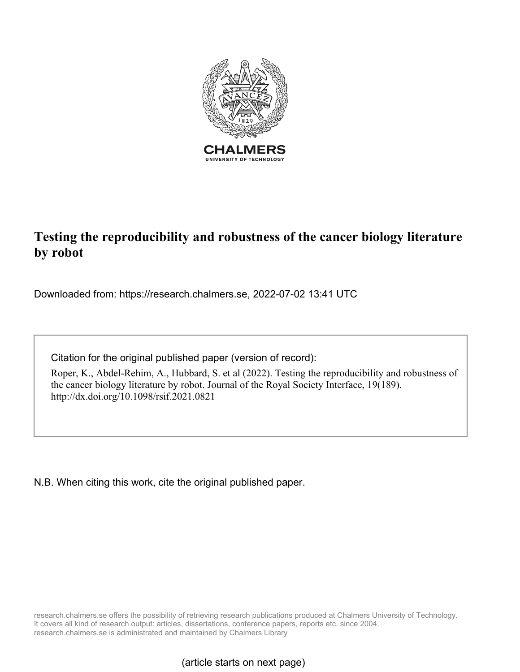

# **Testing the reproducibility and robustness of the cancer biology literature by robot**

Downloaded from: https://research.chalmers.se, 2022-07-02 13:41 UTC

Citation for the original published paper (version of record):

Roper, K., Abdel-Rehim, A., Hubbard, S. et al (2022). Testing the reproducibility and robustness of the cancer biology literature by robot. Journal of the Royal Society Interface, 19(189). http://dx.doi.org/10.1098/rsif.2021.0821

N.B. When citing this work, cite the original published paper.

research.chalmers.se offers the possibility of retrieving research publications produced at Chalmers University of Technology. It covers all kind of research output: articles, dissertations, conference papers, reports etc. since 2004. research.chalmers.se is administrated and maintained by Chalmers Library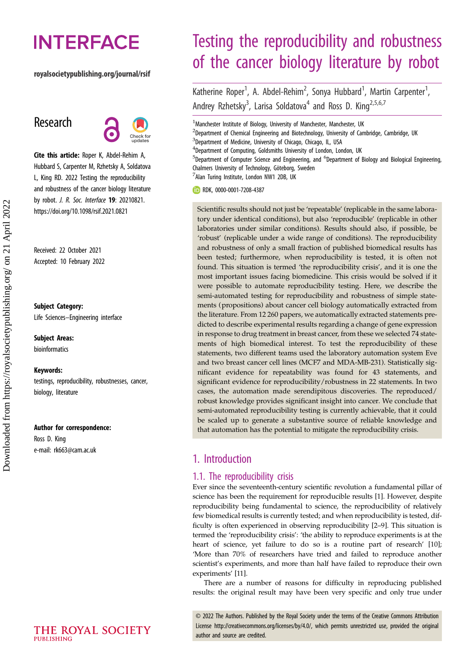# **INTERFACE**

## royalsocietypublishing.org/journal/rsif

# Research



Cite this article: Roper K, Abdel-Rehim A, Hubbard S, Carpenter M, Rzhetsky A, Soldatova L, King RD. 2022 Testing the reproducibility and robustness of the cancer biology literature by robot. *J. R. Soc. Interface* **19**: 20210821. https://doi.org/10.1098/rsif.2021.0821

Received: 22 October 2021 Accepted: 10 February 2022

#### Subject Category:

Life Sciences–Engineering interface

Subject Areas: bioinformatics

#### Keywords:

testings, reproducibility, robustnesses, cancer, biology, literature

#### Author for correspondence:

Ross D. King e-mail: [rk663@cam.ac.uk](mailto:rk663@cam.ac.uk)

# Testing the reproducibility and robustness of the cancer biology literature by robot

Katherine Roper<sup>1</sup>, A. Abdel-Rehim<sup>2</sup>, Sonya Hubbard<sup>1</sup>, Martin Carpenter<sup>1</sup> , Andrey Rzhetsky<sup>3</sup>, Larisa Soldatova<sup>4</sup> and Ross D. King<sup>2,5,6,7</sup>

<sup>1</sup>Manchester Institute of Biology, University of Manchester, Manchester, UK

<sup>2</sup>Department of Chemical Engineering and Biotechnology, University of Cambridge, Cambridge, UK

- <sup>3</sup>Department of Medicine, University of Chicago, Chicago, IL, USA
- <sup>4</sup>Department of Computing, Goldsmiths University of London, London, UK

<sup>5</sup>Department of Computer Science and Engineering, and <sup>6</sup>Department of Biology and Biological Engineering, Chalmers University of Technology, Göteborg, Sweden

<sup>7</sup>Alan Turing Institute, London NW1 2DB, UK

**RDK, [0000-0001-7208-4387](http://orcid.org/0000-0001-7208-4387)** 

Scientific results should not just be 'repeatable' (replicable in the same laboratory under identical conditions), but also 'reproducible' (replicable in other laboratories under similar conditions). Results should also, if possible, be 'robust' (replicable under a wide range of conditions). The reproducibility and robustness of only a small fraction of published biomedical results has been tested; furthermore, when reproducibility is tested, it is often not found. This situation is termed 'the reproducibility crisis', and it is one the most important issues facing biomedicine. This crisis would be solved if it were possible to automate reproducibility testing. Here, we describe the semi-automated testing for reproducibility and robustness of simple statements (propositions) about cancer cell biology automatically extracted from the literature. From 12 260 papers, we automatically extracted statements predicted to describe experimental results regarding a change of gene expression in response to drug treatment in breast cancer, from these we selected 74 statements of high biomedical interest. To test the reproducibility of these statements, two different teams used the laboratory automation system Eve and two breast cancer cell lines (MCF7 and MDA-MB-231). Statistically significant evidence for repeatability was found for 43 statements, and significant evidence for reproducibility/robustness in 22 statements. In two cases, the automation made serendipitous discoveries. The reproduced/ robust knowledge provides significant insight into cancer. We conclude that semi-automated reproducibility testing is currently achievable, that it could be scaled up to generate a substantive source of reliable knowledge and that automation has the potential to mitigate the reproducibility crisis.

# 1. Introduction

## 1.1. The reproducibility crisis

Ever since the seventeenth-century scientific revolution a fundamental pillar of science has been the requirement for reproducible results [[1](#page-12-0)]. However, despite reproducibility being fundamental to science, the reproducibility of relatively few biomedical results is currently tested; and when reproducibility is tested, difficulty is often experienced in observing reproducibility [[2](#page-12-0)–[9](#page-12-0)]. This situation is termed the 'reproducibility crisis': 'the ability to reproduce experiments is at the heart of science, yet failure to do so is a routine part of research' [[10\]](#page-12-0); 'More than 70% of researchers have tried and failed to reproduce another scientist's experiments, and more than half have failed to reproduce their own experiments' [\[11\]](#page-12-0).

There are a number of reasons for difficulty in reproducing published results: the original result may have been very specific and only true under

© 2022 The Authors. Published by the Royal Society under the terms of the Creative Commons Attribution License<http://creativecommons.org/licenses/by/4.0/>, which permits unrestricted use, provided the original author and source are credited.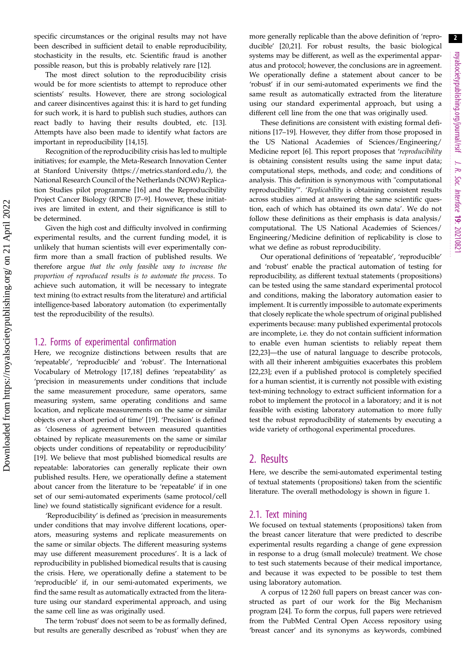specific circumstances or the original results may not have been described in sufficient detail to enable reproducibility, stochasticity in the results, etc. Scientific fraud is another possible reason, but this is probably relatively rare [\[12](#page-12-0)].

The most direct solution to the reproducibility crisis would be for more scientists to attempt to reproduce other scientists' results. However, there are strong sociological and career disincentives against this: it is hard to get funding for such work, it is hard to publish such studies, authors can react badly to having their results doubted, etc. [\[13](#page-12-0)]. Attempts have also been made to identify what factors are important in reproducibility [\[14,15\]](#page-12-0).

Recognition of the reproducibility crisis has led to multiple initiatives; for example, the Meta-Research Innovation Center at Stanford University (<https://metrics.stanford.edu/>), the National Research Council of the Netherlands (NOW) Replication Studies pilot programme [[16\]](#page-12-0) and the Reproducibility Project Cancer Biology (RPCB) [\[7](#page-12-0)–[9](#page-12-0)]. However, these initiatives are limited in extent, and their significance is still to be determined.

Given the high cost and difficulty involved in confirming experimental results, and the current funding model, it is unlikely that human scientists will ever experimentally confirm more than a small fraction of published results. We therefore argue that the only feasible way to increase the proportion of reproduced results is to automate the process. To achieve such automation, it will be necessary to integrate text mining (to extract results from the literature) and artificial intelligence-based laboratory automation (to experimentally test the reproducibility of the results).

#### 1.2. Forms of experimental confirmation

Here, we recognize distinctions between results that are 'repeatable', 'reproducible' and 'robust'. The International Vocabulary of Metrology [[17,18\]](#page-12-0) defines 'repeatability' as 'precision in measurements under conditions that include the same measurement procedure, same operators, same measuring system, same operating conditions and same location, and replicate measurements on the same or similar objects over a short period of time' [\[19](#page-12-0)]. 'Precision' is defined as 'closeness of agreement between measured quantities obtained by replicate measurements on the same or similar objects under conditions of repeatability or reproducibility' [\[19](#page-12-0)]. We believe that most published biomedical results are repeatable: laboratories can generally replicate their own published results. Here, we operationally define a statement about cancer from the literature to be 'repeatable' if in one set of our semi-automated experiments (same protocol/cell line) we found statistically significant evidence for a result.

'Reproducibility' is defined as 'precision in measurements under conditions that may involve different locations, operators, measuring systems and replicate measurements on the same or similar objects. The different measuring systems may use different measurement procedures'. It is a lack of reproducibility in published biomedical results that is causing the crisis. Here, we operationally define a statement to be 'reproducible' if, in our semi-automated experiments, we find the same result as automatically extracted from the literature using our standard experimental approach, and using the same cell line as was originally used.

The term 'robust' does not seem to be as formally defined, but results are generally described as 'robust' when they are more generally replicable than the above definition of 'reproducible' [[20,21\]](#page-12-0). For robust results, the basic biological systems may be different, as well as the experimental apparatus and protocol; however, the conclusions are in agreement. We operationally define a statement about cancer to be 'robust' if in our semi-automated experiments we find the same result as automatically extracted from the literature using our standard experimental approach, but using a different cell line from the one that was originally used.

These definitions are consistent with existing formal definitions [\[17](#page-12-0)–[19\]](#page-12-0). However, they differ from those proposed in the US National Academies of Sciences/Engineering/ Medicine report [[6](#page-12-0)]. This report proposes that 'reproducibility is obtaining consistent results using the same input data; computational steps, methods, and code; and conditions of analysis. This definition is synonymous with "computational reproducibility"'. 'Replicability is obtaining consistent results across studies aimed at answering the same scientific question, each of which has obtained its own data'. We do not follow these definitions as their emphasis is data analysis/ computational. The US National Academies of Sciences/ Engineering/Medicine definition of replicability is close to what we define as robust reproducibility.

Our operational definitions of 'repeatable', 'reproducible' and 'robust' enable the practical automation of testing for reproducibility, as different textual statements (propositions) can be tested using the same standard experimental protocol and conditions, making the laboratory automation easier to implement. It is currently impossible to automate experiments that closely replicate the whole spectrum of original published experiments because: many published experimental protocols are incomplete, i.e. they do not contain sufficient information to enable even human scientists to reliably repeat them [[22,23\]](#page-12-0)—the use of natural language to describe protocols, with all their inherent ambiguities exacerbates this problem [[22,23\]](#page-12-0); even if a published protocol is completely specified for a human scientist, it is currently not possible with existing text-mining technology to extract sufficient information for a robot to implement the protocol in a laboratory; and it is not feasible with existing laboratory automation to more fully test the robust reproducibility of statements by executing a wide variety of orthogonal experimental procedures.

## 2. Results

Here, we describe the semi-automated experimental testing of textual statements (propositions) taken from the scientific literature. The overall methodology is shown in [figure 1.](#page-3-0)

#### 2.1. Text mining

We focused on textual statements (propositions) taken from the breast cancer literature that were predicted to describe experimental results regarding a change of gene expression in response to a drug (small molecule) treatment. We chose to test such statements because of their medical importance, and because it was expected to be possible to test them using laboratory automation.

A corpus of 12 260 full papers on breast cancer was constructed as part of our work for the Big Mechanism program [[24\]](#page-12-0). To form the corpus, full papers were retrieved from the PubMed Central Open Access repository using 'breast cancer' and its synonyms as keywords, combined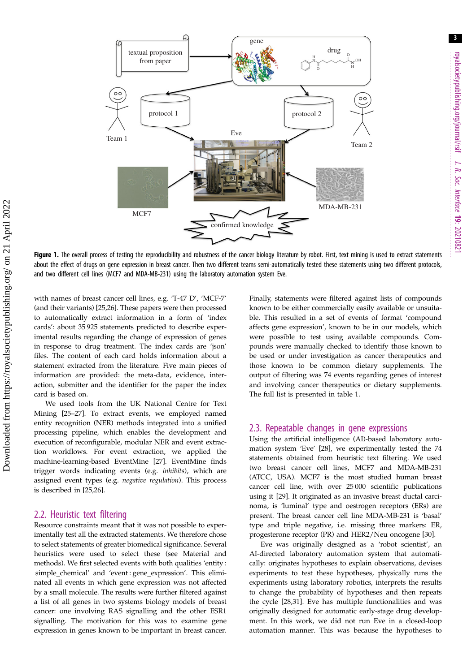<span id="page-3-0"></span>

Figure 1. The overall process of testing the reproducibility and robustness of the cancer biology literature by robot. First, text mining is used to extract statements about the effect of drugs on gene expression in breast cancer. Then two different teams semi-automatically tested these statements using two different protocols, and two different cell lines (MCF7 and MDA-MB-231) using the laboratory automation system Eve.

with names of breast cancer cell lines, e.g. 'T-47 D', 'MCF-7' (and their variants) [[25,26](#page-12-0)]. These papers were then processed to automatically extract information in a form of 'index cards': about 35 925 statements predicted to describe experimental results regarding the change of expression of genes in response to drug treatment. The index cards are 'json' files. The content of each card holds information about a statement extracted from the literature. Five main pieces of information are provided: the meta-data, evidence, interaction, submitter and the identifier for the paper the index card is based on.

We used tools from the UK National Centre for Text Mining [[25](#page-12-0)–[27](#page-13-0)]. To extract events, we employed named entity recognition (NER) methods integrated into a unified processing pipeline, which enables the development and execution of reconfigurable, modular NER and event extraction workflows. For event extraction, we applied the machine-learning-based EventMine [[27\]](#page-13-0). EventMine finds trigger words indicating events (e.g. inhibits), which are assigned event types (e.g. negative regulation). This process is described in [\[25](#page-12-0),[26\]](#page-12-0).

#### 2.2. Heuristic text filtering

Resource constraints meant that it was not possible to experimentally test all the extracted statements. We therefore chose to select statements of greater biomedical significance. Several heuristics were used to select these (see Material and methods). We first selected events with both qualities 'entity : simple\_chemical' and 'event : gene\_expression'. This eliminated all events in which gene expression was not affected by a small molecule. The results were further filtered against a list of all genes in two systems biology models of breast cancer: one involving RAS signalling and the other ESR1 signalling. The motivation for this was to examine gene expression in genes known to be important in breast cancer. Finally, statements were filtered against lists of compounds known to be either commercially easily available or unsuitable. This resulted in a set of events of format 'compound affects gene expression', known to be in our models, which were possible to test using available compounds. Compounds were manually checked to identify those known to be used or under investigation as cancer therapeutics and those known to be common dietary supplements. The output of filtering was 74 events regarding genes of interest and involving cancer therapeutics or dietary supplements. The full list is presented in [table 1](#page-4-0).

#### 2.3. Repeatable changes in gene expressions

Using the artificial intelligence (AI)-based laboratory automation system 'Eve' [[28\]](#page-13-0), we experimentally tested the 74 statements obtained from heuristic text filtering. We used two breast cancer cell lines, MCF7 and MDA-MB-231 (ATCC, USA). MCF7 is the most studied human breast cancer cell line, with over 25 000 scientific publications using it [\[29](#page-13-0)]. It originated as an invasive breast ductal carcinoma, is 'luminal' type and oestrogen receptors (ERs) are present. The breast cancer cell line MDA-MB-231 is 'basal' type and triple negative, i.e. missing three markers: ER, progesterone receptor (PR) and HER2/Neu oncogene [\[30](#page-13-0)].

Eve was originally designed as a 'robot scientist', an AI-directed laboratory automation system that automatically: originates hypotheses to explain observations, devises experiments to test these hypotheses, physically runs the experiments using laboratory robotics, interprets the results to change the probability of hypotheses and then repeats the cycle [[28,31](#page-13-0)]. Eve has multiple functionalities and was originally designed for automatic early-stage drug development. In this work, we did not run Eve in a closed-loop automation manner. This was because the hypotheses to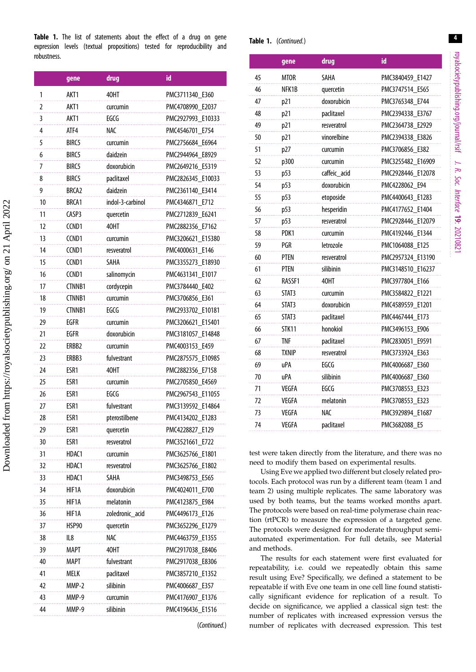<span id="page-4-0"></span>Table 1. The list of statements about the effect of a drug on gene expression levels (textual propositions) tested for reproducibility and robustness.

|    | gene              | drug             | id                 |
|----|-------------------|------------------|--------------------|
| 1  | AKT1              | 40HT             | PMC3711340_E360    |
| 2  | AKT1              | curcumin         | PMC4708990 E2037   |
| 3  | AKT1              | EGCG             | PMC2927993 E10333  |
| 4  | ATF4              | NAC              | PMC4546701 E754    |
| 5  | BIRC5             | curcumin         | PMC2756684 E6964   |
| 6  | BIRC5             | daidzein         | PMC2944964 E8929   |
| 7  | BIRC5             | doxorubicin      | PMC2649216 E5319   |
| 8  | BIRC5             | paclitaxel       | PMC2826345 E10033  |
| 9  | BRCA <sub>2</sub> | daidzein         | PMC2361140 E3414   |
| 10 | BRCA1             | indol-3-carbinol | PMC4346871 E712    |
| 11 | CASP3             | quercetin        | PMC2712839 E6241   |
| 12 | CCND1             | 40HT             | PMC2882356 E7162   |
| 13 | CCND1             | curcumin         | PMC3206621 E15380  |
| 14 | CCND1             | resveratrol      | PMC4000631 E146    |
| 15 | CCND1             | SAHA             | PMC3355273 E18930  |
| 16 | CCND <sub>1</sub> | salinomycin      | PMC4631341 E1017   |
| 17 | CTNNB1            | cordycepin       | PMC3784440 E402    |
| 18 | <b>CTNNB1</b>     | curcumin         | PMC3706856_E361    |
| 19 | CTNNB1            | EGCG             | PMC2933702 E10181  |
| 29 | EGFR              | curcumin         | PMC3206621 E15401  |
| 21 | EGFR              | doxorubicin      | PMC3181057 E14848  |
| 22 | ERBB2             | curcumin         | PMC4003153 E459    |
| 23 | ERBB3             | fulvestrant      | PMC2875575 E10985  |
| 24 | ESR1              | 40HT             | PMC2882356 E7158   |
| 25 | ESR1              | curcumin         | PMC2705850_E4569   |
| 26 | ESR1              | EGCG             | PMC2967543 E11055  |
| 27 | ESR1              | fulvestrant      | PMC3139592 E14864  |
| 28 | ESR1              | pterostilbene    | PMC4134202 E1283   |
| 29 | ESR1              | quercetin        | PMC4228827_E129    |
| 30 | ESR1              | resveratrol      | PMC3521661<br>E722 |
| 31 | HDAC1             | curcumin         | PMC3625766 E1801   |
| 32 | HDAC1             | resveratrol      | PMC3625766_E1802   |
| 33 | HDAC1             | <b>SAHA</b>      | PMC3498753 E565    |
| 34 | HIF1A             | doxorubicin      | PMC4024011<br>F700 |
| 35 | HIF1A             | melatonin        | PMC4123875 E984    |
| 36 | HIF1A             | zoledronic acid  | PMC4496173 E126    |
| 37 | HSP90             | quercetin        | PMC3652296 E1279   |
| 38 | IL8               | <b>NAC</b>       | PMC4463759 E1355   |
| 39 | MAPT              | 40HT             | PMC2917038_E8406   |
| 40 | <b>MAPT</b>       | fulvestrant      | PMC2917038 E8306   |
| 41 | MELK              | paclitaxel       | PMC3857210 E1352   |
| 42 | MMP-2             | silibinin        | PMC4006687 E357    |
| 43 | MMP-9             | curcumin         | PMC4176907 E1376   |
| 44 | MMP-9             | silibinin        | PMC4196436 E1516   |

<sup>(</sup>Continued.)

#### Table 1. (Continued.)

|    | gene         | drug         | id                |
|----|--------------|--------------|-------------------|
| 45 | <b>MTOR</b>  | <b>SAHA</b>  | PMC3840459_E1427  |
| 46 | NFK1B        | quercetin    | PMC3747514_E565   |
| 47 | p21          | doxorubicin  | PMC3765348 E744   |
| 48 | p21          | paclitaxel   | PMC2394338_E3767  |
| 49 | p21          | resveratrol  | PMC2364738 E2929  |
| 50 | p21          | vinorelbine  | PMC2394338_E3826  |
| 51 | p27          | curcumin     | PMC3706856 E382   |
| 52 | p300         | curcumin     | PMC3255482_E16909 |
| 53 | p53          | caffeic_acid | PMC2928446 E12078 |
| 54 | p53          | doxorubicin  | PMC4228062 E94    |
| 55 | p53          | etoposide    | PMC4400643_E1283  |
| 56 | p53          | hesperidin   | PMC4177652 E1404  |
| 57 | p53          | resveratrol  | PMC2928446_E12079 |
| 58 | PDK1         | curcumin     | PMC4192446_E1344  |
| 59 | PGR          | letrozole    | PMC1064088 E125   |
| 60 | PTEN         | resveratrol  | PMC2957324 E13190 |
| 61 | <b>PTEN</b>  | silibinin    | PMC3148510 E16237 |
| 62 | RASSF1       | 40HT         | PMC3977804 E166   |
| 63 | STAT3        | curcumin     | PMC3584822_E1221  |
| 64 | STAT3        | doxorubicin  | PMC4589559 E1201  |
| 65 | STAT3        | paclitaxel   | PMC4467444 E173   |
| 66 | <b>STK11</b> | honokiol     | PMC3496153_E906   |
| 67 | TNF          | paclitaxel   | PMC2830051_E9591  |
| 68 | <b>TXNIP</b> | resveratrol  | PMC3733924 E363   |
| 69 | uPA          | EGCG         | PMC4006687_E360   |
| 70 | uPA          | silibinin    | PMC4006687_E360   |
| 71 | <b>VEGFA</b> | EGCG         | PMC3708553 E323   |
| 72 | VEGFA        | melatonin    | PMC3708553_E323   |
| 73 | VEGFA        | NAC          | PMC3929894_E1687  |
| 74 | VEGFA        | paclitaxel   | PMC3682088 E5     |

test were taken directly from the literature, and there was no need to modify them based on experimental results.

Using Eve we applied two different but closely related protocols. Each protocol was run by a different team (team 1 and team 2) using multiple replicates. The same laboratory was used by both teams, but the teams worked months apart. The protocols were based on real-time polymerase chain reaction (rtPCR) to measure the expression of a targeted gene. The protocols were designed for moderate throughput semiautomated experimentation. For full details, see Material and methods.

The results for each statement were first evaluated for repeatability, i.e. could we repeatedly obtain this same result using Eve? Specifically, we defined a statement to be repeatable if with Eve one team in one cell line found statistically significant evidence for replication of a result. To decide on significance, we applied a classical sign test: the number of replicates with increased expression versus the number of replicates with decreased expression. This test

4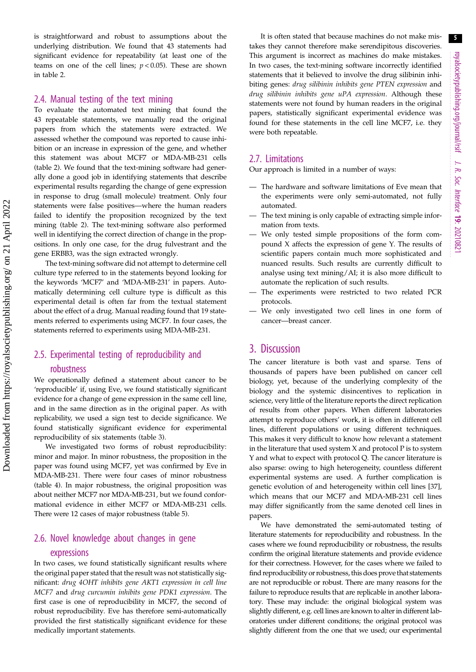is straightforward and robust to assumptions about the underlying distribution. We found that 43 statements had significant evidence for repeatability (at least one of the teams on one of the cell lines;  $p < 0.05$ ). These are shown in [table 2.](#page-6-0)

#### 2.4. Manual testing of the text mining

To evaluate the automated text mining that found the 43 repeatable statements, we manually read the original papers from which the statements were extracted. We assessed whether the compound was reported to cause inhibition or an increase in expression of the gene, and whether this statement was about MCF7 or MDA-MB-231 cells [\(table 2\)](#page-6-0). We found that the text-mining software had generally done a good job in identifying statements that describe experimental results regarding the change of gene expression in response to drug (small molecule) treatment. Only four statements were false positives—where the human readers failed to identify the proposition recognized by the text mining ([table 2\)](#page-6-0). The text-mining software also performed well in identifying the correct direction of change in the propositions. In only one case, for the drug fulvestrant and the gene ERBB3, was the sign extracted wrongly.

The text-mining software did not attempt to determine cell culture type referred to in the statements beyond looking for the keywords 'MCF7' and 'MDA-MB-231' in papers. Automatically determining cell culture type is difficult as this experimental detail is often far from the textual statement about the effect of a drug. Manual reading found that 19 statements referred to experiments using MCF7. In four cases, the statements referred to experiments using MDA-MB-231.

## 2.5. Experimental testing of reproducibility and

#### robustness

We operationally defined a statement about cancer to be 'reproducible' if, using Eve, we found statistically significant evidence for a change of gene expression in the same cell line, and in the same direction as in the original paper. As with replicability, we used a sign test to decide significance. We found statistically significant evidence for experimental reproducibility of six statements [\(table 3\)](#page-8-0).

We investigated two forms of robust reproducibility: minor and major. In minor robustness, the proposition in the paper was found using MCF7, yet was confirmed by Eve in MDA-MB-231. There were four cases of minor robustness [\(table 4\)](#page-9-0). In major robustness, the original proposition was about neither MCF7 nor MDA-MB-231, but we found conformational evidence in either MCF7 or MDA-MB-231 cells. There were 12 cases of major robustness ([table 5\)](#page-10-0).

## 2.6. Novel knowledge about changes in gene expressions

In two cases, we found statistically significant results where the original paper stated that the result was not statistically significant: drug 4OHT inhibits gene AKT1 expression in cell line MCF7 and drug curcumin inhibits gene PDK1 expression. The first case is one of reproducibility in MCF7, the second of robust reproducibility. Eve has therefore semi-automatically provided the first statistically significant evidence for these medically important statements.

It is often stated that because machines do not make mistakes they cannot therefore make serendipitous discoveries. This argument is incorrect as machines do make mistakes. In two cases, the text-mining software incorrectly identified statements that it believed to involve the drug silibinin inhibiting genes: drug silibinin inhibits gene PTEN expression and drug silibinin inhibits gene uPA expression. Although these statements were not found by human readers in the original papers, statistically significant experimental evidence was found for these statements in the cell line MCF7, i.e. they were both repeatable.

#### 2.7. Limitations

Our approach is limited in a number of ways:

- The hardware and software limitations of Eve mean that the experiments were only semi-automated, not fully automated.
- The text mining is only capable of extracting simple information from texts.
- We only tested simple propositions of the form compound X affects the expression of gene Y. The results of scientific papers contain much more sophisticated and nuanced results. Such results are currently difficult to analyse using text mining/AI; it is also more difficult to automate the replication of such results.
- The experiments were restricted to two related PCR protocols.
- We only investigated two cell lines in one form of cancer—breast cancer.

## 3. Discussion

The cancer literature is both vast and sparse. Tens of thousands of papers have been published on cancer cell biology, yet, because of the underlying complexity of the biology and the systemic disincentives to replication in science, very little of the literature reports the direct replication of results from other papers. When different laboratories attempt to reproduce others' work, it is often in different cell lines, different populations or using different techniques. This makes it very difficult to know how relevant a statement in the literature that used system X and protocol P is to system Y and what to expect with protocol Q. The cancer literature is also sparse: owing to high heterogeneity, countless different experimental systems are used. A further complication is genetic evolution of and heterogeneity within cell lines [[37\]](#page-13-0), which means that our MCF7 and MDA-MB-231 cell lines may differ significantly from the same denoted cell lines in papers.

We have demonstrated the semi-automated testing of literature statements for reproducibility and robustness. In the cases where we found reproducibility or robustness, the results confirm the original literature statements and provide evidence for their correctness. However, for the cases where we failed to find reproducibility or robustness, this does prove that statements are not reproducible or robust. There are many reasons for the failure to reproduce results that are replicable in another laboratory. These may include: the original biological system was slightly different, e.g. cell lines are known to alter in different laboratories under different conditions; the original protocol was slightly different from the one that we used; our experimental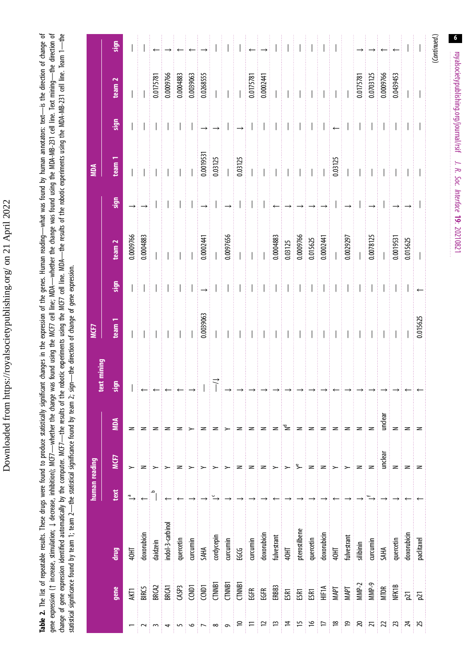Downloaded from https://royalsocietypublishing.org/ on 21 April 2022 Downloaded from https://royalsocietypublishing.org/ on 21 April 2022

<span id="page-6-0"></span>change of gene expression identified automatically by the computer. MCF7—the results of the robotic -the MDA—the results of the robotic experiments using the MDA-MB-231 cell line. Team 1—the<br>statistical significance found **Table 2.** The list of repeatable results. These drugs were found to produce statistically significant changes in the expression of the genes. Human reading—what was found by human annotators: text—is the direction of chan Table 2. The list of repeatable results. These drugs were found to produce statistically significant changes in the expression of the genes. Human reading—what was found by human annotators: text—is the direction of change gene expression (↑ increase, stimulation; ↓ decrease, inhibition); MCF7—whether the change was found using the MCF7 cell line; MDA—whether the change was found using the MDA-MB-231 cell line. Text mining—the direction of change of gene expression identified automatically by the computer. MCF7—the results of the robotic experiments using the MCF7 cell line. of the robotic experiments using the MDA-MB-231 cell line. Team 1—the statistical significance found by team 1; team 2—the statistical significance found by team 2; sign—the direction of change of gene expression.

| team <sub>1</sub><br>MCF7<br>text mining<br>sign<br><b>MDA</b><br>MCF7<br>human reading<br>text<br>drug<br>gene |  |  |         |                              |                               | sign                                                      | team <sub>2</sub>                                                                                                                                                                                                                                                                                                                                                                                                                                                                                                | sign                     | team<br><b>NOM</b>                                                                                                                                                                | sign                          | team <sub>2</sub>                                                                                                                                     | sign                     |
|-----------------------------------------------------------------------------------------------------------------|--|--|---------|------------------------------|-------------------------------|-----------------------------------------------------------|------------------------------------------------------------------------------------------------------------------------------------------------------------------------------------------------------------------------------------------------------------------------------------------------------------------------------------------------------------------------------------------------------------------------------------------------------------------------------------------------------------------|--------------------------|-----------------------------------------------------------------------------------------------------------------------------------------------------------------------------------|-------------------------------|-------------------------------------------------------------------------------------------------------------------------------------------------------|--------------------------|
| $\stackrel{\sigma}{\rightarrow}$<br>40HT<br>AKT1                                                                |  |  | z       |                              |                               |                                                           | 0.0009766                                                                                                                                                                                                                                                                                                                                                                                                                                                                                                        |                          |                                                                                                                                                                                   |                               |                                                                                                                                                       |                          |
| z<br>doxorubicin<br><b>BIRC5</b>                                                                                |  |  | z       |                              | ł                             | ŧ                                                         | 0.0004883                                                                                                                                                                                                                                                                                                                                                                                                                                                                                                        |                          | i<br>I                                                                                                                                                                            | ł                             | ł<br>$\overline{\phantom{a}}$                                                                                                                         | $\overline{\phantom{a}}$ |
| daidzein<br>BRCA2                                                                                               |  |  | z       | $\leftarrow \mid \leftarrow$ |                               |                                                           |                                                                                                                                                                                                                                                                                                                                                                                                                                                                                                                  |                          |                                                                                                                                                                                   |                               | 0.0175781                                                                                                                                             |                          |
| ≻<br>indol-3-carbinol<br><b>BRCAT</b>                                                                           |  |  | z       | $\leftarrow$                 |                               | ŧ                                                         | ł                                                                                                                                                                                                                                                                                                                                                                                                                                                                                                                | $\overline{\phantom{a}}$ |                                                                                                                                                                                   | ł                             | 0.0009766                                                                                                                                             |                          |
| z<br>quercetin<br>CASP <sub>3</sub>                                                                             |  |  | z       |                              |                               | H.                                                        |                                                                                                                                                                                                                                                                                                                                                                                                                                                                                                                  |                          |                                                                                                                                                                                   | Ħ                             | 0.0004883                                                                                                                                             |                          |
| curcumin<br>CCNDT                                                                                               |  |  |         |                              | ŧ                             |                                                           |                                                                                                                                                                                                                                                                                                                                                                                                                                                                                                                  |                          | $\frac{1}{2}$                                                                                                                                                                     | ŧ                             | 0.0039063                                                                                                                                             |                          |
| <b>SAHA</b><br>CCNDT                                                                                            |  |  | z       |                              | 0.0039063                     | $\left  \rightarrow \right $ $\left  \rightarrow \right $ | 0.0002441                                                                                                                                                                                                                                                                                                                                                                                                                                                                                                        |                          | $0.0019531$<br>$0.03125$                                                                                                                                                          | $\rightarrow$ $\rightarrow$   | 0.0268555                                                                                                                                             |                          |
| $\stackrel{\circ}{\rightarrow}$<br>cordycepin<br><b>CTNNB1</b>                                                  |  |  | z       |                              | ł<br>$\overline{\phantom{a}}$ |                                                           |                                                                                                                                                                                                                                                                                                                                                                                                                                                                                                                  |                          |                                                                                                                                                                                   |                               | $\begin{array}{c} \begin{array}{c} \begin{array}{c} \begin{array}{c} \end{array} \end{array} \\ \begin{array}{c} \end{array} \end{array} \end{array}$ |                          |
| curcumin<br><b>CTNNB1</b>                                                                                       |  |  | $\succ$ |                              |                               | $\overline{\phantom{a}}$<br>÷                             | 0.0097656                                                                                                                                                                                                                                                                                                                                                                                                                                                                                                        | $\rightarrow$            |                                                                                                                                                                                   |                               |                                                                                                                                                       | $\overline{\phantom{a}}$ |
| $\,$ $\,$<br><b>EGCG</b><br>CTNNBT                                                                              |  |  | z       |                              | Î                             | Ħ                                                         |                                                                                                                                                                                                                                                                                                                                                                                                                                                                                                                  |                          | 0.03125                                                                                                                                                                           | $\rightarrow \mid \cdot \mid$ |                                                                                                                                                       | ł                        |
| $\geq$<br>curcumin<br>EGFR                                                                                      |  |  | $\geq$  | $\Rightarrow$                | ł                             |                                                           | $\begin{aligned} \mathcal{L}_{\text{in}}(\mathcal{L}_{\text{in}}(\mathcal{L}_{\text{out}}),\mathcal{L}_{\text{out}}(\mathcal{L}_{\text{out}})) = \mathcal{L}_{\text{out}}(\mathcal{L}_{\text{out}}(\mathcal{L}_{\text{out}}),\mathcal{L}_{\text{out}}(\mathcal{L}_{\text{out}})) = \mathcal{L}_{\text{out}}(\mathcal{L}_{\text{out}}(\mathcal{L}_{\text{out}}),\mathcal{L}_{\text{out}}(\mathcal{L}_{\text{out}})) = \mathcal{L}_{\text{out}}(\mathcal{L}_{\text{out}}(\mathcal{L}_{\text{out}}),\mathcal{L}_{\$ | $\overline{\phantom{a}}$ | $\overline{\phantom{a}}$                                                                                                                                                          |                               | 0.0175781                                                                                                                                             | $\leftarrow$             |
| $\geq$<br>doxorubicin<br>EGFR.                                                                                  |  |  | $\geq$  |                              | ł<br>$\overline{\phantom{a}}$ | THE                                                       | $\begin{array}{c} \hline \end{array}$                                                                                                                                                                                                                                                                                                                                                                                                                                                                            | $\overline{\phantom{a}}$ | $\label{eq:3} \begin{split} \mathcal{L}_{\text{in}}(\mathcal{L}_{\text{in}}(\mathcal{L}_{\text{out}}),\mathcal{L}_{\text{out}}(\mathcal{L}_{\text{out}}))\geq 0 \end{split}$<br>ļ |                               | 0.0002441                                                                                                                                             |                          |
| $\succ$<br>fulvestrant                                                                                          |  |  | $\geq$  |                              | i<br>I                        | $\mathbb{H}$                                              | 0.0004883                                                                                                                                                                                                                                                                                                                                                                                                                                                                                                        |                          | i<br>I                                                                                                                                                                            |                               |                                                                                                                                                       |                          |
| $\sim$<br>ENO#                                                                                                  |  |  | ∶≥      |                              | ł                             |                                                           | $\frac{0.03125}{0.0009766}$                                                                                                                                                                                                                                                                                                                                                                                                                                                                                      |                          |                                                                                                                                                                                   |                               |                                                                                                                                                       |                          |
| ∠<br>pterostilbene<br>581                                                                                       |  |  | $\geq$  |                              | ł<br>$\overline{\phantom{a}}$ | HH                                                        |                                                                                                                                                                                                                                                                                                                                                                                                                                                                                                                  |                          | $\ \ $                                                                                                                                                                            |                               | ŧ                                                                                                                                                     | $1 \pm 1 \pm$            |
| $\geq$<br>quercetin<br>doxorubicin                                                                              |  |  | $\geq$  |                              |                               | $\overline{\phantom{a}}$                                  |                                                                                                                                                                                                                                                                                                                                                                                                                                                                                                                  |                          |                                                                                                                                                                                   |                               |                                                                                                                                                       |                          |
| $\,$ $\,$<br>ESR1<br>HIF1A<br>MAPT                                                                              |  |  | ∶∠      |                              | ł                             | $\pm 1$<br>÷                                              | $0.015625$<br>$0.0002441$                                                                                                                                                                                                                                                                                                                                                                                                                                                                                        |                          | $\prod_{i=1}^{n}$                                                                                                                                                                 |                               |                                                                                                                                                       | ŧ                        |
| $\succ$<br>ENO#                                                                                                 |  |  | z       |                              | Ħ                             | Ħ                                                         |                                                                                                                                                                                                                                                                                                                                                                                                                                                                                                                  |                          | 0.03125                                                                                                                                                                           |                               |                                                                                                                                                       |                          |
| $\succ$<br>fulvestrant<br>MAPT                                                                                  |  |  | z       |                              | ł                             | $\begin{array}{c} \hline \end{array}$                     | 0.0029297                                                                                                                                                                                                                                                                                                                                                                                                                                                                                                        |                          |                                                                                                                                                                                   |                               |                                                                                                                                                       | ŧ                        |
| z<br>silibinin<br>$MMP-2$                                                                                       |  |  | z       |                              | Ì                             | ł<br>ŧ<br>$\overline{\phantom{a}}$                        |                                                                                                                                                                                                                                                                                                                                                                                                                                                                                                                  |                          | ŧ                                                                                                                                                                                 | $\overline{\phantom{a}}$      | 0.0175781                                                                                                                                             |                          |
| z<br>curcumin<br>MMP-9                                                                                          |  |  | z       |                              |                               |                                                           | 0.0078125                                                                                                                                                                                                                                                                                                                                                                                                                                                                                                        |                          |                                                                                                                                                                                   | $\frac{1}{2}$ $\frac{1}{2}$   | 0.0703125                                                                                                                                             |                          |
| unclear<br>SAHA<br><b>MTOR</b>                                                                                  |  |  | undear  |                              | Ħ                             | Ħ                                                         |                                                                                                                                                                                                                                                                                                                                                                                                                                                                                                                  |                          | Ħ                                                                                                                                                                                 | Ħ                             | 0.0009766                                                                                                                                             |                          |
| $\geq$<br>quercetin<br><b>NFK1B</b>                                                                             |  |  | $\geq$  |                              | $\prod_{i=1}^{n}$             | Ħ                                                         | 0.0019531                                                                                                                                                                                                                                                                                                                                                                                                                                                                                                        |                          | ŧ                                                                                                                                                                                 | T)                            | 0.0439453                                                                                                                                             |                          |
| z<br>doxorubicir<br>$\overline{p}$                                                                              |  |  | z       |                              |                               | $\overline{\phantom{a}}$                                  | 0.015625                                                                                                                                                                                                                                                                                                                                                                                                                                                                                                         |                          |                                                                                                                                                                                   |                               |                                                                                                                                                       |                          |
| $\geq$<br>paclitaxel<br>$\overline{p}$                                                                          |  |  | $\geq$  |                              | 0.015625                      |                                                           |                                                                                                                                                                                                                                                                                                                                                                                                                                                                                                                  |                          | ł                                                                                                                                                                                 | ł                             | ţ                                                                                                                                                     |                          |
|                                                                                                                 |  |  |         |                              |                               |                                                           |                                                                                                                                                                                                                                                                                                                                                                                                                                                                                                                  |                          |                                                                                                                                                                                   |                               |                                                                                                                                                       |                          |

royalsocietypublishing.org/journal/rsif J. R. Soc. Interface 19: coyalsodetypublishing.org/journal/rsit J. R. Soc. Interface 19: 20210821

 $6\overline{6}$ 

(Continued.)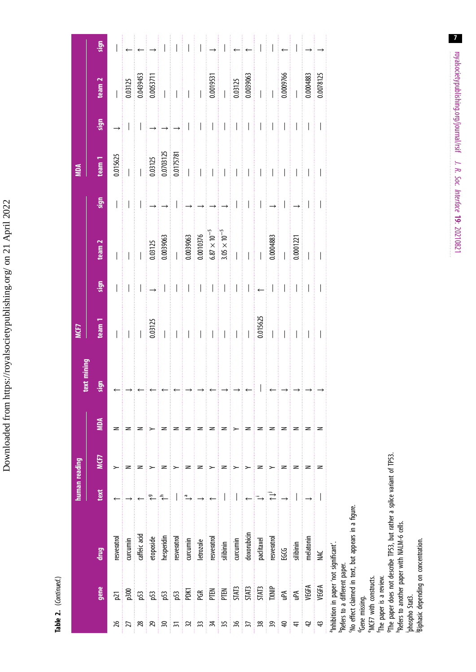Downloaded from https://royalsocietypublishing.org/ on 21 April 2022 Downloaded from https://royalsocietypublishing.org/ on 21 April 2022

> Table 2. (Continued.) Table 2. (Continued.)

|                                                                                                  |                                                                                                                                          |                                                                                                                                                                                                        | human reading |      |            | text mining | <b>MCF7</b>                                                                  |      |                                                                                                                                                       |                             | <b>MDA</b>                                                                              |      |                                                                                                                                                                                                                                                                                                                                                                 |                                                                                                                                                                                                                                                                                                                                                                                                                                                                                                                                                       |
|--------------------------------------------------------------------------------------------------|------------------------------------------------------------------------------------------------------------------------------------------|--------------------------------------------------------------------------------------------------------------------------------------------------------------------------------------------------------|---------------|------|------------|-------------|------------------------------------------------------------------------------|------|-------------------------------------------------------------------------------------------------------------------------------------------------------|-----------------------------|-----------------------------------------------------------------------------------------|------|-----------------------------------------------------------------------------------------------------------------------------------------------------------------------------------------------------------------------------------------------------------------------------------------------------------------------------------------------------------------|-------------------------------------------------------------------------------------------------------------------------------------------------------------------------------------------------------------------------------------------------------------------------------------------------------------------------------------------------------------------------------------------------------------------------------------------------------------------------------------------------------------------------------------------------------|
|                                                                                                  |                                                                                                                                          |                                                                                                                                                                                                        |               |      |            |             |                                                                              |      |                                                                                                                                                       |                             |                                                                                         |      |                                                                                                                                                                                                                                                                                                                                                                 |                                                                                                                                                                                                                                                                                                                                                                                                                                                                                                                                                       |
|                                                                                                  | gene                                                                                                                                     | lerip<br>Le                                                                                                                                                                                            | text          | MCF7 | <b>MDA</b> | sign        | team <sub>1</sub>                                                            | sign | team <sub>2</sub>                                                                                                                                     | sign                        | team <sub>1</sub>                                                                       | sign | team <sub>2</sub>                                                                                                                                                                                                                                                                                                                                               | sign                                                                                                                                                                                                                                                                                                                                                                                                                                                                                                                                                  |
| 26                                                                                               | $\overline{p}$                                                                                                                           | resveratrol                                                                                                                                                                                            |               | ≻    | z          |             |                                                                              |      |                                                                                                                                                       |                             | 0.015625                                                                                |      |                                                                                                                                                                                                                                                                                                                                                                 |                                                                                                                                                                                                                                                                                                                                                                                                                                                                                                                                                       |
| 27                                                                                               | p300                                                                                                                                     | curcumin                                                                                                                                                                                               |               | z    | z          |             |                                                                              |      | $\prod_{i=1}^n$                                                                                                                                       | $\parallel$ I $\parallel$ I |                                                                                         |      | 0.03125                                                                                                                                                                                                                                                                                                                                                         |                                                                                                                                                                                                                                                                                                                                                                                                                                                                                                                                                       |
| $^{28}$                                                                                          | p <sub>53</sub>                                                                                                                          | caffeic acid                                                                                                                                                                                           |               | z    | z          |             |                                                                              |      |                                                                                                                                                       |                             | $\frac{1}{1}$                                                                           |      | 0.0439453                                                                                                                                                                                                                                                                                                                                                       |                                                                                                                                                                                                                                                                                                                                                                                                                                                                                                                                                       |
| 29                                                                                               | p53                                                                                                                                      | etoposide                                                                                                                                                                                              | ₹             |      |            |             | 0.03125                                                                      |      |                                                                                                                                                       |                             |                                                                                         |      |                                                                                                                                                                                                                                                                                                                                                                 | $\leftarrow$ $\leftarrow$ $\rightarrow$ $\mid \cdot$ $\mid$                                                                                                                                                                                                                                                                                                                                                                                                                                                                                           |
| $\approx$                                                                                        | p53                                                                                                                                      | hesperidin                                                                                                                                                                                             |               | z    | z          |             |                                                                              |      | $\frac{0.03125}{0.0039063}$                                                                                                                           |                             | $\begin{array}{r} 0.03125 \\ 0.0703125 \\ 0.0175781 \\ \hline 0.0175781 \\ \end{array}$ |      | $\begin{array}{c c} \texttt{0.0053711} \\ \texttt{0.0053711} \\ \texttt{1.0011} \\ \texttt{1.0011} \\ \texttt{1.0011} \\ \texttt{1.0011} \\ \texttt{1.0011} \\ \texttt{1.0011} \\ \texttt{1.0011} \\ \texttt{1.0011} \\ \texttt{1.0011} \\ \texttt{1.0011} \\ \texttt{1.0011} \\ \texttt{1.0011} \\ \texttt{1.0011} \\ \texttt{1.0011} \\ \texttt{1.0011} \\ \$ |                                                                                                                                                                                                                                                                                                                                                                                                                                                                                                                                                       |
| $\overline{5}$                                                                                   | p <sub>53</sub>                                                                                                                          | resveratrol                                                                                                                                                                                            |               |      | 2          |             | $\frac{1}{\sqrt{2}}$                                                         |      |                                                                                                                                                       |                             |                                                                                         |      |                                                                                                                                                                                                                                                                                                                                                                 |                                                                                                                                                                                                                                                                                                                                                                                                                                                                                                                                                       |
| $\mathfrak{Z}$                                                                                   | PDK1                                                                                                                                     | curcumin                                                                                                                                                                                               | ۵L            | z    | z          |             | $\frac{1}{2}$                                                                |      |                                                                                                                                                       |                             |                                                                                         |      |                                                                                                                                                                                                                                                                                                                                                                 |                                                                                                                                                                                                                                                                                                                                                                                                                                                                                                                                                       |
| 33                                                                                               | PGR                                                                                                                                      | letrozole                                                                                                                                                                                              |               | z    | z          |             | THE                                                                          |      | $\begin{array}{r} 0.0039063 \\ 0.0010376 \\ 6.87 \times 10^{-5} \\ 3.05 \times 10^{-5} \\ \end{array}$                                                |                             |                                                                                         |      |                                                                                                                                                                                                                                                                                                                                                                 | $\begin{array}{c} \begin{array}{c} \begin{array}{c} \end{array} \\ \begin{array}{c} \end{array} \\ \begin{array}{c} \end{array} \end{array} \end{array} \end{array} \begin{array}{c} \begin{array}{c} \begin{array}{c} \end{array} \\ \begin{array}{c} \end{array} \end{array} \begin{array}{c} \begin{array}{c} \end{array} \end{array} \end{array} \begin{array}{c} \begin{array}{c} \end{array} \end{array} \end{array} \begin{array}{c} \begin{array}{c} \end{array} \end{array} \end{array} \begin{array}{c} \begin{array}{c} \end{array} \end{$ |
| $\frac{1}{2}$                                                                                    | PTEN                                                                                                                                     | resveratrol                                                                                                                                                                                            |               | >    | z          |             |                                                                              |      |                                                                                                                                                       |                             | $\mathbf{H}$                                                                            |      | 0.0019531                                                                                                                                                                                                                                                                                                                                                       |                                                                                                                                                                                                                                                                                                                                                                                                                                                                                                                                                       |
| 35                                                                                               | PTEN                                                                                                                                     | silibinin                                                                                                                                                                                              |               | z    | z          |             |                                                                              |      |                                                                                                                                                       |                             |                                                                                         |      |                                                                                                                                                                                                                                                                                                                                                                 |                                                                                                                                                                                                                                                                                                                                                                                                                                                                                                                                                       |
| 36                                                                                               | <b>STAT3</b>                                                                                                                             | curcumin                                                                                                                                                                                               |               | >    | >          |             | $\begin{array}{c} \begin{array}{c} \begin{array}{c} \end{array} \end{array}$ |      |                                                                                                                                                       |                             | $\prod_{i=1}^{n} \prod_{i=1}^{n} \prod_{i=1}^{n}$                                       |      | $\frac{1}{0.03125}$                                                                                                                                                                                                                                                                                                                                             |                                                                                                                                                                                                                                                                                                                                                                                                                                                                                                                                                       |
| $\overline{\mathcal{E}}$                                                                         | <b>STAT3</b>                                                                                                                             | doxorubicin                                                                                                                                                                                            |               |      | z          |             |                                                                              |      |                                                                                                                                                       |                             |                                                                                         |      |                                                                                                                                                                                                                                                                                                                                                                 | $\leftarrow \mid \leftarrow$                                                                                                                                                                                                                                                                                                                                                                                                                                                                                                                          |
| 38                                                                                               | <b>STAT3</b>                                                                                                                             | paclitaxel                                                                                                                                                                                             | Ξ             | z    | z          |             | 0.015625                                                                     |      | $\begin{array}{c} \begin{array}{c} \begin{array}{c} \begin{array}{c} \end{array} \\ \begin{array}{c} \end{array} \end{array} \end{array} \end{array}$ |                             | $\ \mathbf{1}\ $                                                                        |      | $\begin{array}{c c} 0.0039063 \\\hline \end{array}$                                                                                                                                                                                                                                                                                                             |                                                                                                                                                                                                                                                                                                                                                                                                                                                                                                                                                       |
| 39                                                                                               | TXNIP                                                                                                                                    | resveratrol                                                                                                                                                                                            | ₹             |      | z          | ▏▏▏▃▏→▏→    |                                                                              |      | 0.0004883                                                                                                                                             |                             |                                                                                         |      |                                                                                                                                                                                                                                                                                                                                                                 |                                                                                                                                                                                                                                                                                                                                                                                                                                                                                                                                                       |
| $\overline{a}$                                                                                   | ρÃ                                                                                                                                       | <b>POG</b>                                                                                                                                                                                             |               | z    | z          |             | $\frac{1}{1}$                                                                |      |                                                                                                                                                       |                             |                                                                                         |      | 0.0009766                                                                                                                                                                                                                                                                                                                                                       |                                                                                                                                                                                                                                                                                                                                                                                                                                                                                                                                                       |
| $\frac{4}{3}$                                                                                    | Aqn                                                                                                                                      | silibinin                                                                                                                                                                                              |               | z    | z          |             |                                                                              |      | 0.0001221                                                                                                                                             |                             | $1 \pm 1 \pm 1 \pm 1$                                                                   |      |                                                                                                                                                                                                                                                                                                                                                                 | ▏▏▏←▏▎▏→                                                                                                                                                                                                                                                                                                                                                                                                                                                                                                                                              |
| $\overline{4}$                                                                                   | VEGFA                                                                                                                                    | melatonin                                                                                                                                                                                              |               | z    | z          |             |                                                                              |      | $\frac{1}{1}$                                                                                                                                         |                             |                                                                                         |      | 0.0004883                                                                                                                                                                                                                                                                                                                                                       |                                                                                                                                                                                                                                                                                                                                                                                                                                                                                                                                                       |
| 43                                                                                               | VEGFA                                                                                                                                    | <b>NK</b>                                                                                                                                                                                              |               | z    | z          |             |                                                                              |      |                                                                                                                                                       |                             |                                                                                         |      | 0.0078125                                                                                                                                                                                                                                                                                                                                                       |                                                                                                                                                                                                                                                                                                                                                                                                                                                                                                                                                       |
| "MCF7 with constructs.<br>The paper is a review.<br><sup>d</sup> Gene missing.<br>phospho Stat3. | Biphasic depending on concentration.<br><sup>a</sup> Inhibition in paper 'not significant'.<br><sup>b</sup> Refers to a different paper. | <sup>9</sup> The paper does not describe TP53, but rather a splice variant of TP53.<br>'No effect claimed in text, but appears in a figure.<br><sup>h</sup> Refers to another paper with NALM-6 cells. |               |      |            |             |                                                                              |      |                                                                                                                                                       |                             |                                                                                         |      |                                                                                                                                                                                                                                                                                                                                                                 |                                                                                                                                                                                                                                                                                                                                                                                                                                                                                                                                                       |

royalsocietypublishing.org/journal/rsif J. R. Soc. Interface 19: royalsodetypublishing.org/journal/rsit J. R. Soc. Interface 19: 20210821

 $\overline{7}$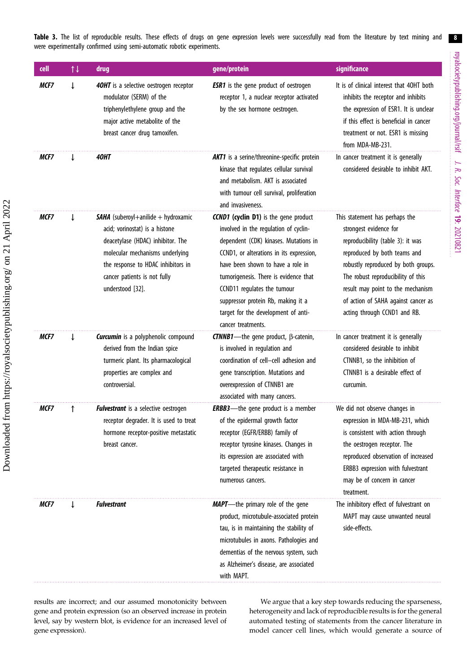<span id="page-8-0"></span>Table 3. The list of reproducible results. These effects of drugs on gene expression levels were successfully read from the literature by text mining and were experimentally confirmed using semi-automatic robotic experiments.

| cell | $\uparrow \downarrow$ | drug                                                                                                                                                                                                                                           | gene/protein                                                                                                                                                                                                                                                                                                                                                                               | significance                                                                                                                                                                                                                                                                                                           |
|------|-----------------------|------------------------------------------------------------------------------------------------------------------------------------------------------------------------------------------------------------------------------------------------|--------------------------------------------------------------------------------------------------------------------------------------------------------------------------------------------------------------------------------------------------------------------------------------------------------------------------------------------------------------------------------------------|------------------------------------------------------------------------------------------------------------------------------------------------------------------------------------------------------------------------------------------------------------------------------------------------------------------------|
| MCF7 |                       | 40HT is a selective oestrogen receptor<br>modulator (SERM) of the<br>triphenylethylene group and the<br>major active metabolite of the<br>breast cancer drug tamoxifen.                                                                        | <b>ESR1</b> is the gene product of oestrogen<br>receptor 1, a nuclear receptor activated<br>by the sex hormone oestrogen.                                                                                                                                                                                                                                                                  | It is of clinical interest that 40HT both<br>inhibits the receptor and inhibits<br>the expression of ESR1. It is unclear<br>if this effect is beneficial in cancer<br>treatment or not. ESR1 is missing<br>from MDA-MB-231.                                                                                            |
| MCF7 |                       | 40HT                                                                                                                                                                                                                                           | <b>AKT1</b> is a serine/threonine-specific protein<br>kinase that regulates cellular survival<br>and metabolism. AKT is associated<br>with tumour cell survival, proliferation<br>and invasiveness.                                                                                                                                                                                        | In cancer treatment it is generally<br>considered desirable to inhibit AKT.                                                                                                                                                                                                                                            |
| MCF7 |                       | <b>SAHA</b> (suberoyl+anilide + hydroxamic<br>acid; vorinostat) is a histone<br>deacetylase (HDAC) inhibitor. The<br>molecular mechanisms underlying<br>the response to HDAC inhibitors in<br>cancer patients is not fully<br>understood [32]. | <b>CCND1</b> (cyclin D1) is the gene product<br>involved in the regulation of cyclin-<br>dependent (CDK) kinases. Mutations in<br>CCND1, or alterations in its expression,<br>have been shown to have a role in<br>tumorigenesis. There is evidence that<br>CCND11 regulates the tumour<br>suppressor protein Rb, making it a<br>target for the development of anti-<br>cancer treatments. | This statement has perhaps the<br>strongest evidence for<br>reproducibility (table 3): it was<br>reproduced by both teams and<br>robustly reproduced by both groups.<br>The robust reproducibility of this<br>result may point to the mechanism<br>of action of SAHA against cancer as<br>acting through CCND1 and RB. |
| MCF7 | T                     | <b>Curcumin</b> is a polyphenolic compound<br>derived from the Indian spice<br>turmeric plant. Its pharmacological<br>properties are complex and<br>controversial.                                                                             | <b>CTNNB1</b> —the gene product, $\beta$ -catenin,<br>is involved in regulation and<br>coordination of cell-cell adhesion and<br>gene transcription. Mutations and<br>overexpression of CTNNB1 are<br>associated with many cancers.                                                                                                                                                        | In cancer treatment it is generally<br>considered desirable to inhibit<br>CTNNB1, so the inhibition of<br>CTNNB1 is a desirable effect of<br>curcumin.                                                                                                                                                                 |
| MCF7 |                       | <b>Fulvestrant</b> is a selective oestrogen<br>receptor degrader. It is used to treat<br>hormone receptor-positive metastatic<br>breast cancer.                                                                                                | <b>ERBB3</b> —the gene product is a member<br>of the epidermal growth factor<br>receptor (EGFR/ERBB) family of<br>receptor tyrosine kinases. Changes in<br>its expression are associated with<br>targeted therapeutic resistance in<br>numerous cancers.                                                                                                                                   | We did not observe changes in<br>expression in MDA-MB-231, which<br>is consistent with action through<br>the oestrogen receptor. The<br>reproduced observation of increased<br>ERBB3 expression with fulvestrant<br>may be of concern in cancer<br>treatment.                                                          |
| MCF7 |                       | <b>Fulvestrant</b>                                                                                                                                                                                                                             | <b>MAPT</b> —the primary role of the gene<br>product, microtubule-associated protein<br>tau, is in maintaining the stability of<br>microtubules in axons. Pathologies and<br>dementias of the nervous system, such<br>as Alzheimer's disease, are associated<br>with MAPT.                                                                                                                 | The inhibitory effect of fulvestrant on<br>MAPT may cause unwanted neural<br>side-effects.                                                                                                                                                                                                                             |

results are incorrect; and our assumed monotonicity between gene and protein expression (so an observed increase in protein level, say by western blot, is evidence for an increased level of gene expression).

We argue that a key step towards reducing the sparseness, heterogeneity and lack of reproducible results is for the general automated testing of statements from the cancer literature in model cancer cell lines, which would generate a source of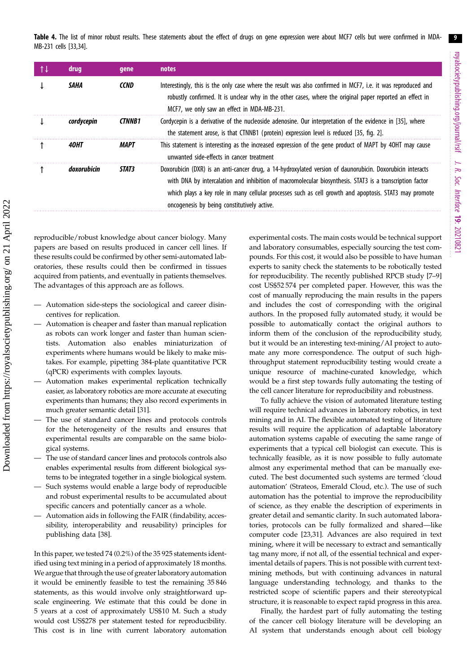<span id="page-9-0"></span>Table 4. The list of minor robust results. These statements about the effect of drugs on gene expression were about MCF7 cells but were confirmed in MDA-MB-231 cells [\[33,34\]](#page-13-0).

| <b>drug</b> | gene          | notes                                                                                                                                                                                                                                                                                                                                                                           |
|-------------|---------------|---------------------------------------------------------------------------------------------------------------------------------------------------------------------------------------------------------------------------------------------------------------------------------------------------------------------------------------------------------------------------------|
| SAHA        | <b>CCND</b>   | Interestingly, this is the only case where the result was also confirmed in MCF7, i.e. it was reproduced and<br>robustly confirmed. It is unclear why in the other cases, where the original paper reported an effect in<br>MCF7, we only saw an effect in MDA-MB-231.                                                                                                          |
| cordycepin  | <b>CTNNB1</b> | Cordycepin is a derivative of the nucleoside adenosine. Our interpretation of the evidence in [35], where<br>the statement arose, is that CTNNB1 (protein) expression level is reduced [35, fig. 2].                                                                                                                                                                            |
| 40HT        | MAPT          | This statement is interesting as the increased expression of the gene product of MAPT by 40HT may cause<br>unwanted side-effects in cancer treatment                                                                                                                                                                                                                            |
| doxorubicin | STAT3         | Doxorubicin (DXR) is an anti-cancer drug, a 14-hydroxylated version of daunorubicin. Doxorubicin interacts<br>with DNA by intercalation and inhibition of macromolecular biosynthesis. STAT3 is a transcription factor<br>which plays a key role in many cellular processes such as cell growth and apoptosis. STAT3 may promote<br>oncogenesis by being constitutively active. |

reproducible/robust knowledge about cancer biology. Many papers are based on results produced in cancer cell lines. If these results could be confirmed by other semi-automated laboratories, these results could then be confirmed in tissues acquired from patients, and eventually in patients themselves. The advantages of this approach are as follows.

- Automation side-steps the sociological and career disincentives for replication.
- Automation is cheaper and faster than manual replication as robots can work longer and faster than human scientists. Automation also enables miniaturization of experiments where humans would be likely to make mistakes. For example, pipetting 384-plate quantitative PCR (qPCR) experiments with complex layouts.
- Automation makes experimental replication technically easier, as laboratory robotics are more accurate at executing experiments than humans; they also record experiments in much greater semantic detail [[31\]](#page-13-0).
- The use of standard cancer lines and protocols controls for the heterogeneity of the results and ensures that experimental results are comparable on the same biological systems.
- The use of standard cancer lines and protocols controls also enables experimental results from different biological systems to be integrated together in a single biological system.
- Such systems would enable a large body of reproducible and robust experimental results to be accumulated about specific cancers and potentially cancer as a whole.
- Automation aids in following the FAIR (findability, accessibility, interoperability and reusability) principles for publishing data [[38\]](#page-13-0).

In this paper, we tested 74 (0.2%) of the 35 925 statements identified using text mining in a period of approximately 18 months. We argue that through the use of greater laboratory automation it would be eminently feasible to test the remaining 35 846 statements, as this would involve only straightforward upscale engineering. We estimate that this could be done in 5 years at a cost of approximately US\$10 M. Such a study would cost US\$278 per statement tested for reproducibility. This cost is in line with current laboratory automation experimental costs. The main costs would be technical support and laboratory consumables, especially sourcing the test compounds. For this cost, it would also be possible to have human experts to sanity check the statements to be robotically tested for reproducibility. The recently published RPCB study [\[7](#page-12-0)–[9\]](#page-12-0) cost US\$52 574 per completed paper. However, this was the cost of manually reproducing the main results in the papers and includes the cost of corresponding with the original authors. In the proposed fully automated study, it would be possible to automatically contact the original authors to inform them of the conclusion of the reproducibility study, but it would be an interesting text-mining/AI project to automate any more correspondence. The output of such highthroughput statement reproducibility testing would create a unique resource of machine-curated knowledge, which would be a first step towards fully automating the testing of the cell cancer literature for reproducibility and robustness.

To fully achieve the vision of automated literature testing will require technical advances in laboratory robotics, in text mining and in AI. The flexible automated testing of literature results will require the application of adaptable laboratory automation systems capable of executing the same range of experiments that a typical cell biologist can execute. This is technically feasible, as it is now possible to fully automate almost any experimental method that can be manually executed. The best documented such systems are termed 'cloud automation' (Strateos, Emerald Cloud, etc.). The use of such automation has the potential to improve the reproducibility of science, as they enable the description of experiments in greater detail and semantic clarity. In such automated laboratories, protocols can be fully formalized and shared—like computer code [[23,](#page-12-0)[31\]](#page-13-0). Advances are also required in text mining, where it will be necessary to extract and semantically tag many more, if not all, of the essential technical and experimental details of papers. This is not possible with current textmining methods, but with continuing advances in natural language understanding technology, and thanks to the restricted scope of scientific papers and their stereotypical structure, it is reasonable to expect rapid progress in this area.

Finally, the hardest part of fully automating the testing of the cancer cell biology literature will be developing an AI system that understands enough about cell biology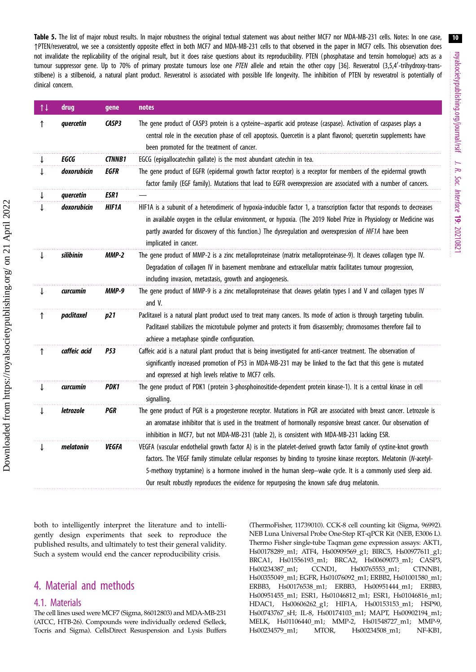10 royalsocietypublishing.org/journal/rsif royalsocietypublishing.org/journal/rsif J. R. Soc. Interface 19: 20210821

<span id="page-10-0"></span>Table 5. The list of major robust results. In major robustness the original textual statement was about neither MCF7 nor MDA-MB-231 cells. Notes: In one case, ↑PTEN/resveratrol, we see a consistently opposite effect in both MCF7 and MDA-MB-231 cells to that observed in the paper in MCF7 cells. This observation does not invalidate the replicability of the original result, but it does raise questions about its reproducibility. PTEN (phosphatase and tensin homologue) acts as a tumour suppressor gene. Up to 70% of primary prostate tumours lose one PTEN allele and retain the other copy [[36\]](#page-13-0). Resveratrol (3,5,4'-trihydroxy-transstilbene) is a stilbenoid, a natural plant product. Resveratrol is associated with possible life longevity. The inhibition of PTEN by resveratrol is potentially of clinical concern.

| $\uparrow \downarrow$ | drug         | gene          | notes                                                                                                                                                                                                                                                                                                                                                                                                                                                   |
|-----------------------|--------------|---------------|---------------------------------------------------------------------------------------------------------------------------------------------------------------------------------------------------------------------------------------------------------------------------------------------------------------------------------------------------------------------------------------------------------------------------------------------------------|
| ↑                     | quercetin    | CASP3         | The gene product of CASP3 protein is a cysteine-aspartic acid protease (caspase). Activation of caspases plays a<br>central role in the execution phase of cell apoptosis. Quercetin is a plant flavonol; quercetin supplements have<br>been promoted for the treatment of cancer.                                                                                                                                                                      |
|                       | EGCG         | <b>CTNNB1</b> | EGCG (epigallocatechin gallate) is the most abundant catechin in tea.                                                                                                                                                                                                                                                                                                                                                                                   |
|                       | doxorubicin  | EGFR          | The gene product of EGFR (epidermal growth factor receptor) is a receptor for members of the epidermal growth<br>factor family (EGF family). Mutations that lead to EGFR overexpression are associated with a number of cancers.                                                                                                                                                                                                                        |
|                       | quercetin    | ESR1          |                                                                                                                                                                                                                                                                                                                                                                                                                                                         |
|                       | doxorubicin  | HIF1A         | HIF1A is a subunit of a heterodimeric of hypoxia-inducible factor 1, a transcription factor that responds to decreases<br>in available oxygen in the cellular environment, or hypoxia. (The 2019 Nobel Prize in Physiology or Medicine was<br>partly awarded for discovery of this function.) The dysregulation and overexpression of HIF1A have been<br>implicated in cancer.                                                                          |
|                       | silibinin    | <b>MMP-2</b>  | The gene product of MMP-2 is a zinc metalloproteinase (matrix metalloproteinase-9). It cleaves collagen type IV.<br>Degradation of collagen IV in basement membrane and extracellular matrix facilitates tumour progression,<br>including invasion, metastasis, growth and angiogenesis.                                                                                                                                                                |
| $\downarrow$          | curcumin     | <b>MMP-9</b>  | The gene product of MMP-9 is a zinc metalloproteinase that cleaves gelatin types I and V and collagen types IV<br>and V.                                                                                                                                                                                                                                                                                                                                |
| ↑                     | paclitaxel   | p21           | Paclitaxel is a natural plant product used to treat many cancers. Its mode of action is through targeting tubulin.<br>Paclitaxel stabilizes the microtubule polymer and protects it from disassembly; chromosomes therefore fail to<br>achieve a metaphase spindle configuration.                                                                                                                                                                       |
| ↑                     | caffeic acid | <b>P53</b>    | Caffeic acid is a natural plant product that is being investigated for anti-cancer treatment. The observation of<br>significantly increased promotion of P53 in MDA-MB-231 may be linked to the fact that this gene is mutated<br>and expressed at high levels relative to MCF7 cells.                                                                                                                                                                  |
|                       | curcumin     | PDK1          | The gene product of PDK1 (protein 3-phosphoinositide-dependent protein kinase-1). It is a central kinase in cell<br>signalling.                                                                                                                                                                                                                                                                                                                         |
|                       | letrozole    | PGR           | The gene product of PGR is a progesterone receptor. Mutations in PGR are associated with breast cancer. Letrozole is<br>an aromatase inhibitor that is used in the treatment of hormonally responsive breast cancer. Our observation of<br>inhibition in MCF7, but not MDA-MB-231 (table 2), is consistent with MDA-MB-231 lacking ESR.                                                                                                                 |
|                       | melatonin    | <b>VEGFA</b>  | VEGFA (vascular endothelial growth factor A) is in the platelet-derived growth factor family of cystine-knot growth<br>factors. The VEGF family stimulate cellular responses by binding to tyrosine kinase receptors. Melatonin (N-acetyl-<br>5-methoxy tryptamine) is a hormone involved in the human sleep-wake cycle. It is a commonly used sleep aid.<br>Our result robustly reproduces the evidence for repurposing the known safe drug melatonin. |

both to intelligently interpret the literature and to intelligently design experiments that seek to reproduce the published results, and ultimately to test their general validity. Such a system would end the cancer reproducibility crisis.

# 4. Material and methods

### 4.1. Materials

The cell lines used were MCF7 (Sigma, 86012803) and MDA-MB-231 (ATCC, HTB-26). Compounds were individually ordered (Selleck, Tocris and Sigma). CellsDirect Resuspension and Lysis Buffers (ThermoFisher, 11739010). CCK-8 cell counting kit (Sigma, 96992). NEB Luna Universal Probe One-Step RT-qPCR Kit (NEB, E3006 L). Thermo Fisher single-tube Taqman gene expression assays: AKT1, Hs00178289\_m1; ATF4, Hs00909569\_g1; BIRC5, Hs00977611\_g1; BRCA1, Hs01556193\_m1; BRCA2, Hs00609073\_m1; CASP3, Hs00234387\_m1; CCND1, Hs00765553\_m1; CTNNB1, Hs00355049\_m1; EGFR, Hs01076092\_m1; ERBB2, Hs01001580\_m1; ERBB3, Hs00176538\_m1; ERBB3, Hs00951444\_m1; ERBB3, Hs00951455\_m1; ESR1, Hs01046812\_m1; ESR1, Hs01046816\_m1; HDAC1, Hs00606262\_g1; HIF1A, Hs00153153\_m1; HSP90, Hs00743767\_sH; IL-8, Hs00174103\_m1; MAPT, Hs00902194\_m1; MELK, Hs01106440\_m1; MMP-2, Hs01548727\_m1; MMP-9, Hs00234579\_m1; MTOR, Hs00234508\_m1; NF-KB1,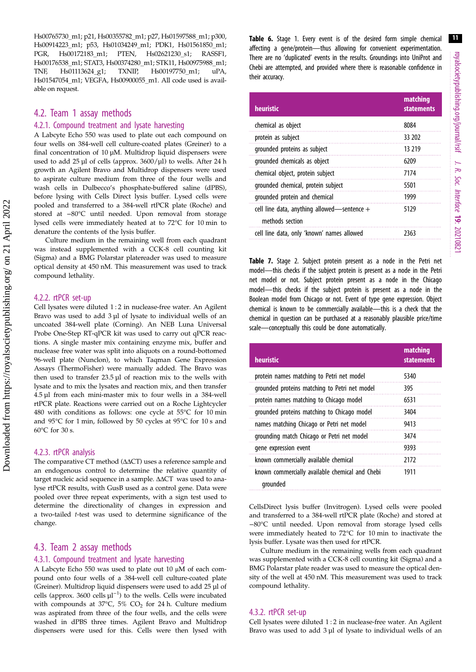<span id="page-11-0"></span>Hs00765730\_m1; p21, Hs00355782\_m1; p27, Hs01597588\_m1; p300, Hs00914223\_m1; p53, Hs01034249\_m1; PDK1, Hs01561850\_m1; PGR, Hs00172183\_m1; PTEN, Hs02621230\_s1; RASSF1, Hs00176538\_m1; STAT3, Hs00374280\_m1; STK11, Hs00975988\_m1; TNF, Hs01113624\_g1; TXNIP, Hs00197750\_m1; uPA, Hs01547054\_m1; VEGFA, Hs00900055\_m1. All code used is available on request.

### 4.2. Team 1 assay methods

#### 4.2.1. Compound treatment and lysate harvesting

A Labcyte Echo 550 was used to plate out each compound on four wells on 384-well cell culture-coated plates (Greiner) to a final concentration of 10 µM. Multidrop liquid dispensers were used to add 25 µl of cells (approx. 3600/µl) to wells. After 24 h growth an Agilent Bravo and Multidrop dispensers were used to aspirate culture medium from three of the four wells and wash cells in Dulbecco's phosphate-buffered saline (dPBS), before lysing with Cells Direct lysis buffer. Lysed cells were pooled and transferred to a 384-well rtPCR plate (Roche) and stored at −80°C until needed. Upon removal from storage lysed cells were immediately heated at to 72°C for 10 min to denature the contents of the lysis buffer.

Culture medium in the remaining well from each quadrant was instead supplemented with a CCK-8 cell counting kit (Sigma) and a BMG Polarstar platereader was used to measure optical density at 450 nM. This measurement was used to track compound lethality.

#### 4.2.2. rtPCR set-up

Cell lysates were diluted 1 : 2 in nuclease-free water. An Agilent Bravo was used to add 3 µl of lysate to individual wells of an uncoated 384-well plate (Corning). An NEB Luna Universal Probe One-Step RT-qPCR kit was used to carry out qPCR reactions. A single master mix containing enzyme mix, buffer and nuclease free water was split into aliquots on a round-bottomed 96-well plate (Nunclon), to which Taqman Gene Expression Assays (ThermoFisher) were manually added. The Bravo was then used to transfer 23.5 µl of reaction mix to the wells with lysate and to mix the lysates and reaction mix, and then transfer 4.5 µl from each mini-master mix to four wells in a 384-well rtPCR plate. Reactions were carried out on a Roche Lightcycler 480 with conditions as follows: one cycle at 55°C for 10 min and 95°C for 1 min, followed by 50 cycles at 95°C for 10 s and 60°C for 30 s.

#### 4.2.3. rtPCR analysis

The comparative CT method (ΔΔCT) uses a reference sample and an endogenous control to determine the relative quantity of target nucleic acid sequence in a sample. ΔΔCT was used to analyse rtPCR results, with GusB used as a control gene. Data were pooled over three repeat experiments, with a sign test used to determine the directionality of changes in expression and a two-tailed t-test was used to determine significance of the change.

#### 4.3. Team 2 assay methods

#### 4.3.1. Compound treatment and lysate harvesting

A Labcyte Echo 550 was used to plate out 10 μM of each compound onto four wells of a 384-well cell culture-coated plate (Greiner). Multidrop liquid dispensers were used to add 25 µl of cells (approx. 3600 cells  $\mu$ l<sup>-1</sup>) to the wells. Cells were incubated with compounds at 37°C, 5%  $CO<sub>2</sub>$  for 24 h. Culture medium was aspirated from three of the four wells, and the cells were washed in dPBS three times. Agilent Bravo and Multidrop dispensers were used for this. Cells were then lysed with

Table 6. Stage 1. Every event is of the desired form simple chemical affecting a gene/protein—thus allowing for convenient experimentation. There are no 'duplicated' events in the results. Groundings into UniProt and Chebi are attempted, and provided where there is reasonable confidence in their accuracy.

| heuristic                                                        | matching<br><b>statements</b> |
|------------------------------------------------------------------|-------------------------------|
| chemical as object                                               | 8084                          |
| protein as subject                                               | 33 202                        |
| grounded proteins as subject                                     | 13 219                        |
| grounded chemicals as object                                     | 6209                          |
| chemical object, protein subject                                 | 7174                          |
| grounded chemical, protein subject                               | 5501                          |
| grounded protein and chemical                                    | 1999                          |
| cell line data, anything allowed—sentence $+$<br>methods section | 5129                          |
| cell line data, only 'known' names allowed                       | 2363                          |

Table 7. Stage 2. Subject protein present as a node in the Petri net model—this checks if the subject protein is present as a node in the Petri net model or not. Subject protein present as a node in the Chicago model—this checks if the subject protein is present as a node in the Boolean model from Chicago or not. Event of type gene expression. Object chemical is known to be commercially available—this is a check that the chemical in question can be purchased at a reasonably plausible price/time scale—conceptually this could be done automatically.

| heuristic                                                   | matching<br><b>statements</b> |
|-------------------------------------------------------------|-------------------------------|
| protein names matching to Petri net model                   | 5340                          |
| grounded proteins matching to Petri net model               | 395                           |
| protein names matching to Chicago model                     | 6531                          |
| grounded proteins matching to Chicago model                 | 3404                          |
| names matching Chicago or Petri net model                   | 9413                          |
| grounding match Chicago or Petri net model                  | 3474                          |
| gene expression event                                       | 9393                          |
| known commercially available chemical                       | 2172                          |
| known commercially available chemical and Chebi<br>arounded | 1911                          |

CellsDirect lysis buffer (Invitrogen). Lysed cells were pooled and transferred to a 384-well rtPCR plate (Roche) and stored at −80°C until needed. Upon removal from storage lysed cells were immediately heated to 72°C for 10 min to inactivate the lysis buffer. Lysate was then used for rtPCR.

Culture medium in the remaining wells from each quadrant was supplemented with a CCK-8 cell counting kit (Sigma) and a BMG Polarstar plate reader was used to measure the optical density of the well at 450 nM. This measurement was used to track compound lethality.

#### 4.3.2. rtPCR set-up

Cell lysates were diluted 1 : 2 in nuclease-free water. An Agilent Bravo was used to add 3 µl of lysate to individual wells of an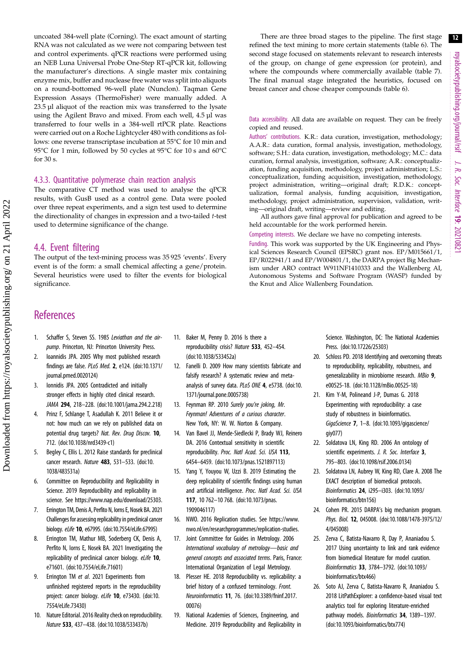<span id="page-12-0"></span>uncoated 384-well plate (Corning). The exact amount of starting RNA was not calculated as we were not comparing between test and control experiments. qPCR reactions were performed using an NEB Luna Universal Probe One-Step RT-qPCR kit, following the manufacturer's directions. A single master mix containing enzyme mix, buffer and nuclease free water was split into aliquots on a round-bottomed 96-well plate (Nunclon). Taqman Gene Expression Assays (ThermoFisher) were manually added. A 23.5 µl aliquot of the reaction mix was transferred to the lysate using the Agilent Bravo and mixed. From each well, 4.5 µl was transferred to four wells in a 384-well rtPCR plate. Reactions were carried out on a Roche Lightcycler 480 with conditions as follows: one reverse transcriptase incubation at 55°C for 10 min and 95°C for 1 min, followed by 50 cycles at 95°C for 10 s and 60°C for 30 s.

#### 4.3.3. Quantitative polymerase chain reaction analysis

The comparative CT method was used to analyse the qPCR results, with GusB used as a control gene. Data were pooled over three repeat experiments, and a sign test used to determine the directionality of changes in expression and a two-tailed t-test used to determine significance of the change.

#### 4.4. Event filtering

The output of the text-mining process was 35 925 'events'. Every event is of the form: a small chemical affecting a gene/protein. Several heuristics were used to filter the events for biological significance.

## **References**

 Downloaded from https://royalsocietypublishing.org/ on 21 April 2022 Downloaded from https://royalsocietypublishing.org/ on 21 April 2022

- 1. Schaffer S, Steven SS. 1985 Leviathan and the airpump. Princeton, NJ: Princeton University Press.
- 2. Ioannidis JPA. 2005 Why most published research findings are false. PLoS Med. 2, e124. ([doi:10.1371/](https://doi.org/10.1371/journal.pmed.0020124) [journal.pmed.0020124](https://doi.org/10.1371/journal.pmed.0020124))
- 3. Ionnidis JPA. 2005 Contradicted and initially stronger effects in highly cited clinical research. JAMA 294, 218–228. ([doi:10.1001/jama.294.2.218](http://dx.doi.org/10.1001/jama.294.2.218))
- Prinz F, Schlange T, Asadullah K. 2011 Believe it or not: how much can we rely on published data on potential drug targets? Nat. Rev. Drug Discov. 10, 712. [\(doi:10.1038/nrd3439-c1\)](http://dx.doi.org/10.1038/nrd3439-c1)
- 5. Begley C, Ellis L. 2012 Raise standards for preclinical cancer research. Nature 483, 531–533. ([doi:10.](http://dx.doi.org/10.1038/483531a) [1038/483531a](http://dx.doi.org/10.1038/483531a))
- 6. Committee on Reproducibility and Replicability in Science. 2019 Reproducibility and replicability in science. See<https://www.nap.edu/download/25303>.
- 7. Errington TM, Denis A, Perfito N, Iorns E, Nosek BA. 2021 Challenges for assessing replicability in preclinical cancer biology. eLife 10, e67995. [\(doi:10.7554/eLife.67995\)](http://dx.doi.org/10.7554/eLife.67995)
- 8. Errington TM, Mathur MB, Soderberg CK, Denis A, Perfito N, Iorns E, Nosek BA. 2021 Investigating the replicability of preclinical cancer biology. eLife 10, e71601. [\(doi:10.7554/eLife.71601](http://dx.doi.org/10.7554/eLife.71601))
- 9. Errington TM et al. 2021 Experiments from unfinished registered reports in the reproducibility project: cancer biology. eLife 10, e73430. [\(doi:10.](http://dx.doi.org/10.7554/eLife.73430) [7554/eLife.73430\)](http://dx.doi.org/10.7554/eLife.73430)
- 10. Nature Editorial. 2016 Reality check on reproducibility. Nature 533, 437–438. [\(doi:10.1038/533437b\)](http://dx.doi.org/10.1038/533437b)
- 11. Baker M, Penny D. 2016 Is there a reproducibility crisis? Nature 533, 452–454. [\(doi:10.1038/533452a](http://dx.doi.org/10.1038/533452a))
- 12. Fanelli D. 2009 How many scientists fabricate and falsify research? A systematic review and metaanalysis of survey data. PLoS ONE 4, e5738. [\(doi:10.](http://dx.doi.org/10.1371/journal.pone.0005738) [1371/journal.pone.0005738\)](http://dx.doi.org/10.1371/journal.pone.0005738)
- 13. Feynman RP. 2010 Surely you're joking, Mr. Feynman! Adventures of a curious character. New York, NY: W. W. Norton & Company.
- 14. Van Bavel JJ, Mende-Siedlecki P, Brady WJ, Reinero DA. 2016 Contextual sensitivity in scientific reproducibility. Proc. Natl Acad. Sci. USA 113, 6454–6459. [\(doi:10.1073/pnas.1521897113](http://dx.doi.org/10.1073/pnas.1521897113))
- 15. Yang Y, Youyou W, Uzzi B. 2019 Estimating the deep replicability of scientific findings using human and artificial intelligence. Proc. Natl Acad. Sci. USA 117, 10 762–10 768. ([doi:10.1073/pnas.](http://dx.doi.org/10.1073/pnas.1909046117) [1909046117\)](http://dx.doi.org/10.1073/pnas.1909046117)
- 16. NWO. 2016 Replication studies. See [https://www.](https://www.nwo.nl/en/news-and-events/news/2016/nwo-makes-3-million-available-for-replication-studies-pilot.html) [nwo.nl/en/researchprogrammes/replication-studies](https://www.nwo.nl/en/news-and-events/news/2016/nwo-makes-3-million-available-for-replication-studies-pilot.html).
- 17. Joint Committee for Guides in Metrology. 2006 International vocabulary of metrology—basic and general concepts and associated terms. Paris, France: International Organization of Legal Metrology.
- 18. Plesser HE. 2018 Reproducibility vs. replicability: a brief history of a confused terminology. Front. Neuroinformatics 11, 76. [\(doi:10.3389/fninf.2017.](http://dx.doi.org/10.3389/fninf.2017.00076) [00076\)](http://dx.doi.org/10.3389/fninf.2017.00076)
- 19. National Academies of Sciences, Engineering, and Medicine. 2019 Reproducibility and Replicability in

There are three broad stages to the pipeline. The first stage refined the text mining to more certain statements [\(table 6](#page-11-0)). The second stage focused on statements relevant to research interests of the group, on change of gene expression (or protein), and where the compounds where commercially available ([table 7\)](#page-11-0). The final manual stage integrated the heuristics, focused on breast cancer and chose cheaper compounds ([table 6](#page-11-0)).

Data accessibility. All data are available on request. They can be freely copied and reused.

Authors' contributions. K.R.: data curation, investigation, methodology; A.A.R.: data curation, formal analysis, investigation, methodology, software; S.H.: data curation, investigation, methodology; M.C.: data curation, formal analysis, investigation, software; A.R.: conceptualization, funding acquisition, methodology, project administration; L.S.: conceptualization, funding acquisition, investigation, methodology, project administration, writing—original draft; R.D.K.: conceptualization, formal analysis, funding acquisition, investigation, methodology, project administration, supervision, validation, writing—original draft, writing—review and editing.

All authors gave final approval for publication and agreed to be held accountable for the work performed herein.

Competing interests. We declare we have no competing interests.

Funding. This work was supported by the UK Engineering and Physical Sciences Research Council (EPSRC) grant nos. EP/M015661/1, EP/R022941/1 and EP/W004801/1, the DARPA project Big Mechanism under ARO contract W911NF1410333 and the Wallenberg AI, Autonomous Systems and Software Program (WASP) funded by the Knut and Alice Wallenberg Foundation.

> Science. Washington, DC: The National Academies Press. [\(doi:10.17226/25303](https://doi.org/10.17226/25303))

- 20. Schloss PD. 2018 Identifying and overcoming threats to reproducibility, replicability, robustness, and generalizability in microbiome research. MBio 9, e00525-18. ([doi:10.1128/mBio.00525-18](http://dx.doi.org/10.1128/mBio.00525-18))
- 21. Kim Y-M, Polineand J-P, Dumas G. 2018 Experimenting with reproducibility: a case study of robustness in bioinformatics. GigaScience 7, 1–8. ([doi:10.1093/gigascience/](http://dx.doi.org/10.1093/gigascience/giy077) [giy077](http://dx.doi.org/10.1093/gigascience/giy077))
- 22. Soldatova LN, King RD. 2006 An ontology of scientific experiments. J. R. Soc. Interface 3, 795–803. [\(doi:10.1098/rsif.2006.0134\)](http://dx.doi.org/10.1098/rsif.2006.0134)
- 23. Soldatova LN, Aubrey W, King RD, Clare A. 2008 The EXACT description of biomedical protocols. Bioinformatics 24, i295–i303. [\(doi:10.1093/](https://doi.org/10.1093/bioinformatics/btn156) [bioinformatics/btn156](https://doi.org/10.1093/bioinformatics/btn156))
- 24. Cohen PR. 2015 DARPA's big mechanism program. Phys. Biol. 12, 045008. [\(doi:10.1088/1478-3975/12/](http://dx.doi.org/10.1088/1478-3975/12/4/045008) [4/045008\)](http://dx.doi.org/10.1088/1478-3975/12/4/045008)
- 25. Zerva C, Batista-Navarro R, Day P, Ananiadou S. 2017 Using uncertainty to link and rank evidence from biomedical literature for model curation. Bioinformatics 33, 3784–3792. ([doi:10.1093/](http://dx.doi.org/10.1093/bioinformatics/btx466) [bioinformatics/btx466\)](http://dx.doi.org/10.1093/bioinformatics/btx466)
- 26. Soto AJ, Zerva C, Batista-Navarro R, Ananiadou S. 2018 LitPathExplorer: a confidence-based visual text analytics tool for exploring literature-enriched pathway models. Bioinformatics 34, 1389-1397. ([doi:10.1093/bioinformatics/btx774\)](http://dx.doi.org/10.1093/bioinformatics/btx774)